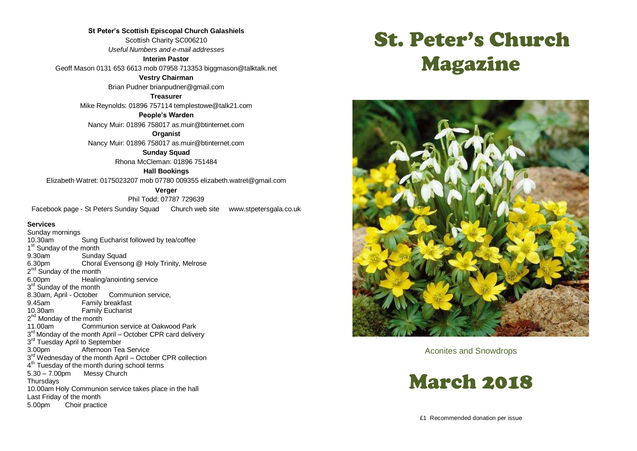**St Peter's Scottish Episcopal Church Galashiels** Scottish Charity SC006210 *Useful Numbers and e-mail addresses* **Interim Pastor**

Geoff Mason 0131 653 6613 mob 07958 713353 biggmason@talktalk.net

**Vestry Chairman**

Brian Pudner brianpudner@gmail.com

**Treasurer**

Mike Reynolds: 01896 757114 templestowe@talk21.com

**People's Warden**

Nancy Muir: 01896 758017 as.muir@btinternet.com

**Organist** Nancy Muir: 01896 758017 as.muir@btinternet.com

> **Sunday Squad** Rhona McCleman: 01896 751484

> > **Hall Bookings**

Elizabeth Watret: 0175023207 mob 07780 009355 elizabeth.watret@gmail.com

**Verger**

Phil Todd: 07787 729639 Facebook page - St Peters Sunday Squad Church web site www.stpetersgala.co.uk

#### **Services**

Sunday mornings 10.30am Sung Eucharist followed by tea/coffee 1<sup>st</sup> Sunday of the month 9.30am Sunday Squad<br>6.30pm Choral Evensor Choral Evensong @ Holy Trinity, Melrose 2<sup>nd</sup> Sunday of the month 6.00pm Healing/anointing service 3<sup>rd</sup> Sunday of the month 8.30am, April - October Communion service, 9.45am Family breakfast<br>10.30am Family Fucharist **Family Eucharist** 2<sup>nd</sup> Monday of the month 11.00am Communion service at Oakwood Park 3<sup>rd</sup> Monday of the month April – October CPR card delivery 3<sup>rd</sup> Tuesday April to September 3.00pm Afternoon Tea Service 3<sup>rd</sup> Wednesday of the month April – October CPR collection 4<sup>th</sup> Tuesday of the month during school terms 5.30 – 7.00pm Messy Church **Thursdays** 10.00am Holy Communion service takes place in the hall Last Friday of the month 5.00pm Choir practice

# St. Peter's Church Magazine



Aconites and Snowdrops

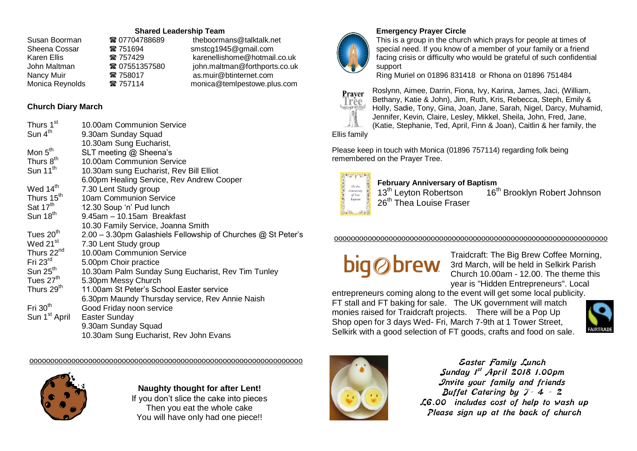#### **Shared Leadership Team**

| ☎ 07704788689 | theboormans@talktalk.net      |
|---------------|-------------------------------|
| ☎ 751694      | smstcg1945@gmail.com          |
| ☎ 757429      | karenellishome@hotmail.co.uk  |
| ■ 07551357580 | john.maltman@forthports.co.uk |
| ☎ 758017      | as.muir@btinternet.com        |
| 2 757114      | monica@temlpestowe.plus.com   |
|               |                               |

#### **Church Diary March**

| Thurs 1 <sup>st</sup>     | 10.00am Communion Service                                    |
|---------------------------|--------------------------------------------------------------|
| Sun 4 <sup>th</sup>       | 9.30am Sunday Squad                                          |
|                           | 10.30am Sung Eucharist,                                      |
| Mon 5 <sup>th</sup>       | SLT meeting @ Sheena's                                       |
| Thurs 8 <sup>th</sup>     | 10.00am Communion Service                                    |
| Sun $11^{th}$             | 10.30am sung Eucharist, Rev Bill Elliot                      |
|                           | 6.00pm Healing Service, Rev Andrew Cooper                    |
| Wed 14 <sup>th</sup>      | 7.30 Lent Study group                                        |
| Thurs 15 <sup>th</sup>    | 10am Communion Service                                       |
| Sat $17th$                | 12.30 Soup 'n' Pud lunch                                     |
| Sun 18 <sup>th</sup>      | 9.45am - 10.15am Breakfast                                   |
|                           | 10.30 Family Service, Joanna Smith                           |
| Tues 20 <sup>th</sup>     | 2.00 - 3.30pm Galashiels Fellowship of Churches @ St Peter's |
| Wed 21 <sup>st</sup>      | 7.30 Lent Study group                                        |
| Thurs 22 <sup>nd</sup>    | 10.00am Communion Service                                    |
| Fri $23rd$                | 5.00pm Choir practice                                        |
| Sun $25th$                | 10.30am Palm Sunday Sung Eucharist, Rev Tim Tunley           |
| Tues 27 <sup>th</sup>     | 5.30pm Messy Church                                          |
| Thurs 29 <sup>th</sup>    | 11.00am St Peter's School Easter service                     |
|                           | 6.30pm Maundy Thursday service, Rev Annie Naish              |
| Fri $30th$                | Good Friday noon service                                     |
| Sun 1 <sup>st</sup> April | Easter Sunday                                                |
|                           | 9.30am Sunday Squad                                          |
|                           | 10.30am Sung Eucharist, Rev John Evans                       |

ooooooooooooooooooooooooooooooooooooooooooooooooooooooooooooooooo



**Naughty thought for after Lent!** If you don't slice the cake into pieces Then you eat the whole cake You will have only had one piece!!



## **Emergency Prayer Circle**

This is a group in the church which prays for people at times of special need. If you know of a member of your family or a friend facing crisis or difficulty who would be grateful of such confidential support

Ring Muriel on 01896 831418 or Rhona on 01896 751484



Roslynn, Aimee, Darrin, Fiona, Ivy, Karina, James, Jaci, (William, Bethany, Katie & John), Jim, Ruth, Kris, Rebecca, Steph, Emily & Holly, Sadie, Tony, Gina, Joan, Jane, Sarah, Nigel, Darcy, Muhamid, Jennifer, Kevin, Claire, Lesley, Mikkel, Sheila, John, Fred, Jane, (Katie, Stephanie, Ted, April, Finn & Joan), Caitlin & her family, the

Ellis family

Please keep in touch with Monica (01896 757114) regarding folk being remembered on the Prayer Tree.



# **February Anniversary of Baptism**<br>13<sup>th</sup> Leyton Robertson 16<sup>t</sup>

16<sup>th</sup> Brooklyn Robert Johnson

#### ooooooooooooooooooooooooooooooooooooooooooooooooooooooooooooooooo

Traidcraft: The Big Brew Coffee Morning, 3rd March, will be held in Selkirk Parish Church 10.00am - 12.00. The theme this year is "Hidden Entrepreneurs". Local

entrepreneurs coming along to the event will get some local publicity. FT stall and FT baking for sale. The UK government will match monies raised for Traidcraft projects. There will be a Pop Up Shop open for 3 days Wed- Fri, March 7-9th at 1 Tower Street, Selkirk with a good selection of FT goods, crafts and food on sale.





**Easter Family Lunch Sunday 1st April 2018 1.00pm Invite your family and friends Buffet Catering by T- 4 – 2 £6.00 includes cost of help to wash up Please sign up at the back of church**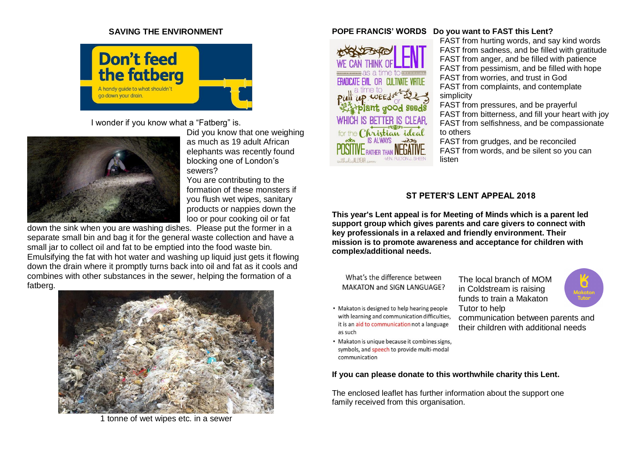#### **SAVING THE ENVIRONMENT**



I wonder if you know what a "Fatberg" is.



Did you know that one weighing as much as 19 adult African elephants was recently found blocking one of London's sewers?

You are contributing to the formation of these monsters if you flush wet wipes, sanitary products or nappies down the loo or pour cooking oil or fat

down the sink when you are washing dishes. Please put the former in a separate small bin and bag it for the general waste collection and have a small jar to collect oil and fat to be emptied into the food waste bin. Emulsifying the fat with hot water and washing up liquid just gets it flowing down the drain where it promptly turns back into oil and fat as it cools and combines with other substances in the sewer, helping the formation of a fatberg.



1 tonne of wet wipes etc. in a sewer

#### **POPE FRANCIS' WORDS Do you want to FAST this Lent?**



FAST from hurting words, and say kind words FAST from sadness, and be filled with gratitude FAST from anger, and be filled with patience FAST from pessimism, and be filled with hope FAST from worries, and trust in God FAST from complaints, and contemplate simplicity FAST from pressures, and be prayerful

FAST from bitterness, and fill your heart with joy FAST from selfishness, and be compassionate to others

FAST from grudges, and be reconciled FAST from words, and be silent so you can listen

#### **ST PETER'S LENT APPEAL 2018**

**This year's Lent appeal is for Meeting of Minds which is a parent led support group which gives parents and care givers to connect with key professionals in a relaxed and friendly environment. Their mission is to promote awareness and acceptance for children with complex/additional needs.**

What's the difference between MAKATON and SIGN LANGUAGE?

- Makaton is designed to help hearing people with learning and communication difficulties, it is an aid to communication not a language as such
- Makaton is unique because it combines signs, symbols, and speech to provide multi-modal communication

The local branch of MOM in Coldstream is raising funds to train a Makaton Tutor to help



communication between parents and their children with additional needs

**If you can please donate to this worthwhile charity this Lent.**

The enclosed leaflet has further information about the support one family received from this organisation.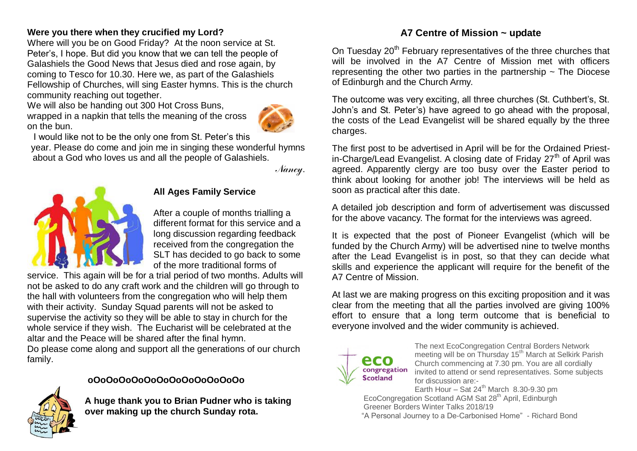# **Were you there when they crucified my Lord?**

Where will you be on Good Friday? At the noon service at St. Peter's, I hope. But did you know that we can tell the people of Galashiels the Good News that Jesus died and rose again, by coming to Tesco for 10.30. Here we, as part of the Galashiels Fellowship of Churches, will sing Easter hymns. This is the church community reaching out together.

We will also be handing out 300 Hot Cross Buns, wrapped in a napkin that tells the meaning of the cross on the bun.



I would like not to be the only one from St. Peter's this

year. Please do come and join me in singing these wonderful hymns about a God who loves us and all the people of Galashiels.

*Nancy*.



# **All Ages Family Service**

After a couple of months trialling a different format for this service and a long discussion regarding feedback received from the congregation the SLT has decided to go back to some of the more traditional forms of

service. This again will be for a trial period of two months. Adults will not be asked to do any craft work and the children will go through to the hall with volunteers from the congregation who will help them with their activity. Sunday Squad parents will not be asked to supervise the activity so they will be able to stay in church for the whole service if they wish. The Eucharist will be celebrated at the altar and the Peace will be shared after the final hymn.

Do please come along and support all the generations of our church family.



# **oOoOoOoOoOoOoOoOoOoOoOoOo**

**A huge thank you to Brian Pudner who is taking over making up the church Sunday rota.**

# **A7 Centre of Mission ~ update**

On Tuesday 20<sup>th</sup> February representatives of the three churches that will be involved in the A7 Centre of Mission met with officers representing the other two parties in the partnership  $\sim$  The Diocese of Edinburgh and the Church Army.

The outcome was very exciting, all three churches (St. Cuthbert's, St. John's and St. Peter's) have agreed to go ahead with the proposal, the costs of the Lead Evangelist will be shared equally by the three charges.

The first post to be advertised in April will be for the Ordained Priestin-Charge/Lead Evangelist. A closing date of Friday  $27<sup>th</sup>$  of April was agreed. Apparently clergy are too busy over the Easter period to think about looking for another job! The interviews will be held as soon as practical after this date.

A detailed job description and form of advertisement was discussed for the above vacancy. The format for the interviews was agreed.

It is expected that the post of Pioneer Evangelist (which will be funded by the Church Army) will be advertised nine to twelve months after the Lead Evangelist is in post, so that they can decide what skills and experience the applicant will require for the benefit of the A7 Centre of Mission.

At last we are making progress on this exciting proposition and it was clear from the meeting that all the parties involved are giving 100% effort to ensure that a long term outcome that is beneficial to everyone involved and the wider community is achieved.



The next EcoCongregation Central Borders Network meeting will be on Thursday 15<sup>th</sup> March at Selkirk Parish Church commencing at 7.30 pm. You are all cordially invited to attend or send representatives. Some subjects for discussion are:-

Earth Hour – Sat  $24^{th}$  March 8.30-9.30 pm EcoCongregation Scotland AGM Sat 28<sup>th</sup> April, Edinburgh Greener Borders Winter Talks 2018/19

"A Personal Journey to a De-Carbonised Home" - Richard Bond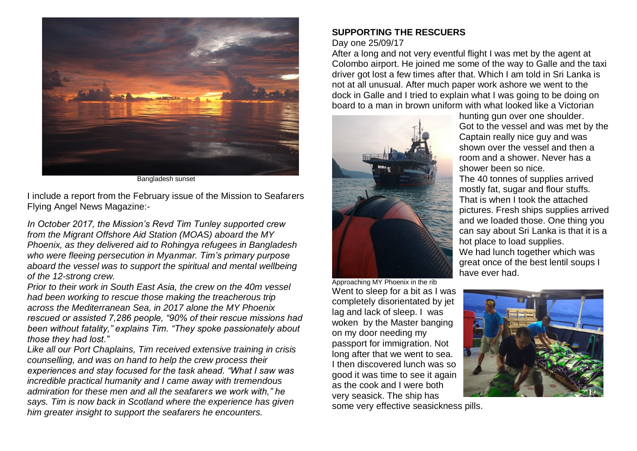

Bangladesh sunset

I include a report from the February issue of the Mission to Seafarers Flying Angel News Magazine:-

*In October 2017, the Mission's Revd Tim Tunley supported crew from the Migrant Offshore Aid Station (MOAS) aboard the MY Phoenix, as they delivered aid to Rohingya refugees in Bangladesh who were fleeing persecution in Myanmar. Tim's primary purpose aboard the vessel was to support the spiritual and mental wellbeing of the 12-strong crew.*

*Prior to their work in South East Asia, the crew on the 40m vessel had been working to rescue those making the treacherous trip across the Mediterranean Sea, in 2017 alone the MY Phoenix rescued or assisted 7,286 people, "90% of their rescue missions had been without fatality," explains Tim. "They spoke passionately about those they had lost."*

*Like all our Port Chaplains, Tim received extensive training in crisis counselling, and was on hand to help the crew process their experiences and stay focused for the task ahead. "What I saw was incredible practical humanity and I came away with tremendous admiration for these men and all the seafarers we work with," he says. Tim is now back in Scotland where the experience has given him greater insight to support the seafarers he encounters.*

# **SUPPORTING THE RESCUERS**

### Day one 25/09/17

After a long and not very eventful flight I was met by the agent at Colombo airport. He joined me some of the way to Galle and the taxi driver got lost a few times after that. Which I am told in Sri Lanka is not at all unusual. After much paper work ashore we went to the dock in Galle and I tried to explain what I was going to be doing on board to a man in brown uniform with what looked like a Victorian



Approaching MY Phoenix in the rib Went to sleep for a bit as I was completely disorientated by jet lag and lack of sleep. I was woken by the Master banging on my door needing my passport for immigration. Not long after that we went to sea. I then discovered lunch was so good it was time to see it again as the cook and I were both very seasick. The ship has

hunting gun over one shoulder. Got to the vessel and was met by the Captain really nice guy and was shown over the vessel and then a room and a shower. Never has a shower been so nice. The 40 tonnes of supplies arrived mostly fat, sugar and flour stuffs. That is when I took the attached pictures. Fresh ships supplies arrived and we loaded those. One thing you can say about Sri Lanka is that it is a hot place to load supplies. We had lunch together which was great once of the best lentil soups I have ever had.



some very effective seasickness pills.